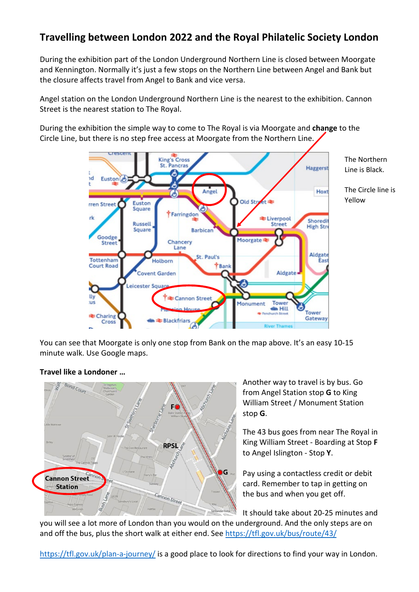## **Travelling between London 2022 and the Royal Philatelic Society London**

During the exhibition part of the London Underground Northern Line is closed between Moorgate and Kennington. Normally it's just a few stops on the Northern Line between Angel and Bank but the closure affects travel from Angel to Bank and vice versa.

Angel station on the London Underground Northern Line is the nearest to the exhibition. Cannon Street is the nearest station to The Royal.

During the exhibition the simple way to come to The Royal is via Moorgate and **change** to the Circle Line, but there is no step free access at Moorgate from the Northern Line.



You can see that Moorgate is only one stop from Bank on the map above. It's an easy 10-15 minute walk. Use Google maps.

## **Travel like a Londoner …**



Another way to travel is by bus. Go from Angel Station stop **G** to King William Street / Monument Station stop **G**.

The 43 bus goes from near The Royal in King William Street - Boarding at Stop **F** to Angel Islington - Stop **Y**.

Pay using a contactless credit or debit card. Remember to tap in getting on the bus and when you get off.

It should take about 20-25 minutes and

you will see a lot more of London than you would on the underground. And the only steps are on and off the bus, plus the short walk at either end. See<https://tfl.gov.uk/bus/route/43/>

<https://tfl.gov.uk/plan-a-journey/> is a good place to look for directions to find your way in London.